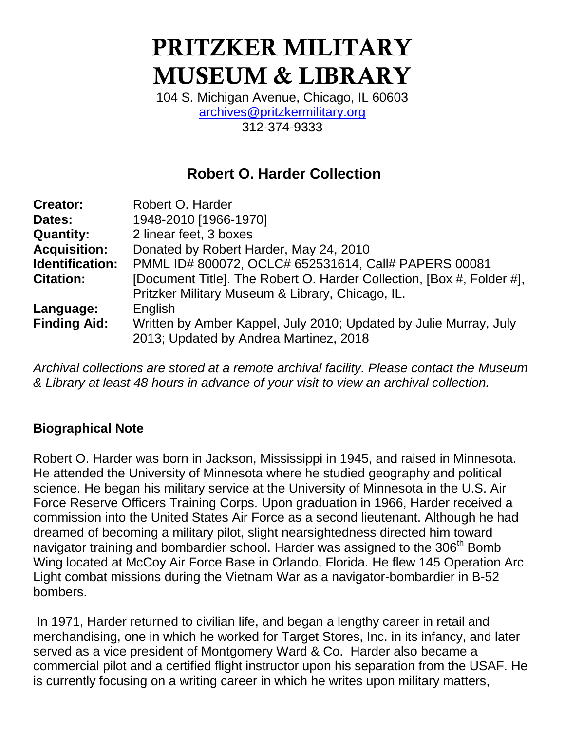# **PRITZKER MILITARY MUSEUM & LIBRARY**

104 S. Michigan Avenue, Chicago, IL 60603 [archives@pritzkermilitary.org](mailto:archives@pritzkermilitary.org) 312-374-9333

# **Robert O. Harder Collection**

| Robert O. Harder                                                                                            |
|-------------------------------------------------------------------------------------------------------------|
| 1948-2010 [1966-1970]                                                                                       |
| 2 linear feet, 3 boxes                                                                                      |
| Donated by Robert Harder, May 24, 2010                                                                      |
| PMML ID# 800072, OCLC# 652531614, Call# PAPERS 00081                                                        |
| [Document Title]. The Robert O. Harder Collection, [Box #, Folder #],                                       |
| Pritzker Military Museum & Library, Chicago, IL.                                                            |
| English                                                                                                     |
| Written by Amber Kappel, July 2010; Updated by Julie Murray, July<br>2013; Updated by Andrea Martinez, 2018 |
|                                                                                                             |

*Archival collections are stored at a remote archival facility. Please contact the Museum & Library at least 48 hours in advance of your visit to view an archival collection.*

## **Biographical Note**

Robert O. Harder was born in Jackson, Mississippi in 1945, and raised in Minnesota. He attended the University of Minnesota where he studied geography and political science. He began his military service at the University of Minnesota in the U.S. Air Force Reserve Officers Training Corps. Upon graduation in 1966, Harder received a commission into the United States Air Force as a second lieutenant. Although he had dreamed of becoming a military pilot, slight nearsightedness directed him toward navigator training and bombardier school. Harder was assigned to the 306<sup>th</sup> Bomb Wing located at McCoy Air Force Base in Orlando, Florida. He flew 145 Operation Arc Light combat missions during the Vietnam War as a navigator-bombardier in B-52 bombers.

In 1971, Harder returned to civilian life, and began a lengthy career in retail and merchandising, one in which he worked for Target Stores, Inc. in its infancy, and later served as a vice president of Montgomery Ward & Co. Harder also became a commercial pilot and a certified flight instructor upon his separation from the USAF. He is currently focusing on a writing career in which he writes upon military matters,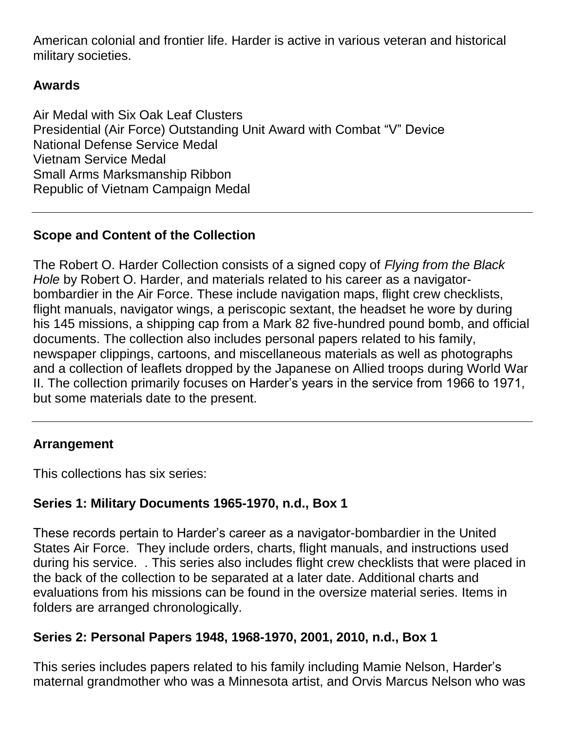American colonial and frontier life. Harder is active in various veteran and historical military societies.

# **Awards**

Air Medal with Six Oak Leaf Clusters Presidential (Air Force) Outstanding Unit Award with Combat "V" Device National Defense Service Medal Vietnam Service Medal Small Arms Marksmanship Ribbon Republic of Vietnam Campaign Medal

# **Scope and Content of the Collection**

The Robert O. Harder Collection consists of a signed copy of *Flying from the Black Hole* by Robert O. Harder, and materials related to his career as a navigatorbombardier in the Air Force. These include navigation maps, flight crew checklists, flight manuals, navigator wings, a periscopic sextant, the headset he wore by during his 145 missions, a shipping cap from a Mark 82 five-hundred pound bomb, and official documents. The collection also includes personal papers related to his family, newspaper clippings, cartoons, and miscellaneous materials as well as photographs and a collection of leaflets dropped by the Japanese on Allied troops during World War II. The collection primarily focuses on Harder's years in the service from 1966 to 1971, but some materials date to the present.

## **Arrangement**

This collections has six series:

## **Series 1: Military Documents 1965-1970, n.d., Box 1**

These records pertain to Harder's career as a navigator-bombardier in the United States Air Force. They include orders, charts, flight manuals, and instructions used during his service. . This series also includes flight crew checklists that were placed in the back of the collection to be separated at a later date. Additional charts and evaluations from his missions can be found in the oversize material series. Items in folders are arranged chronologically.

## **Series 2: Personal Papers 1948, 1968-1970, 2001, 2010, n.d., Box 1**

This series includes papers related to his family including Mamie Nelson, Harder's maternal grandmother who was a Minnesota artist, and Orvis Marcus Nelson who was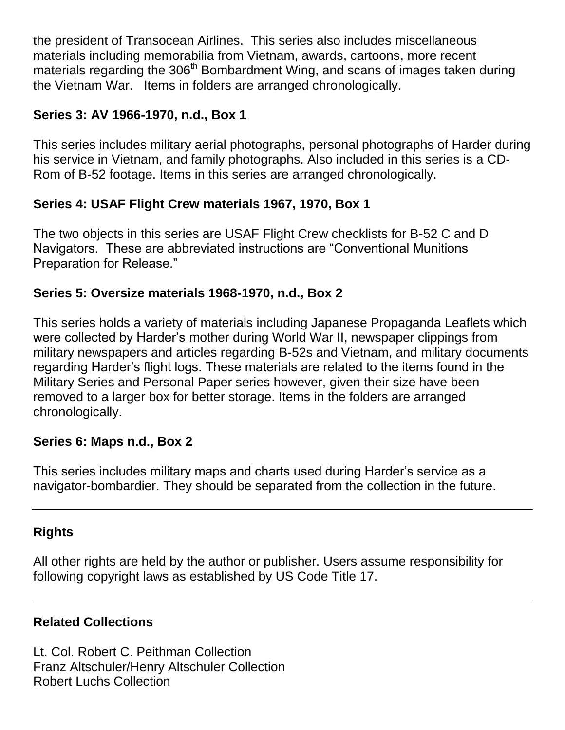the president of Transocean Airlines. This series also includes miscellaneous materials including memorabilia from Vietnam, awards, cartoons, more recent materials regarding the  $306<sup>th</sup>$  Bombardment Wing, and scans of images taken during the Vietnam War. Items in folders are arranged chronologically.

# **Series 3: AV 1966-1970, n.d., Box 1**

This series includes military aerial photographs, personal photographs of Harder during his service in Vietnam, and family photographs. Also included in this series is a CD-Rom of B-52 footage. Items in this series are arranged chronologically.

# **Series 4: USAF Flight Crew materials 1967, 1970, Box 1**

The two objects in this series are USAF Flight Crew checklists for B-52 C and D Navigators. These are abbreviated instructions are "Conventional Munitions Preparation for Release."

# **Series 5: Oversize materials 1968-1970, n.d., Box 2**

This series holds a variety of materials including Japanese Propaganda Leaflets which were collected by Harder's mother during World War II, newspaper clippings from military newspapers and articles regarding B-52s and Vietnam, and military documents regarding Harder's flight logs. These materials are related to the items found in the Military Series and Personal Paper series however, given their size have been removed to a larger box for better storage. Items in the folders are arranged chronologically.

## **Series 6: Maps n.d., Box 2**

This series includes military maps and charts used during Harder's service as a navigator-bombardier. They should be separated from the collection in the future.

## **Rights**

All other rights are held by the author or publisher. Users assume responsibility for following copyright laws as established by US Code Title 17.

## **Related Collections**

Lt. Col. Robert C. Peithman Collection Franz Altschuler/Henry Altschuler Collection Robert Luchs Collection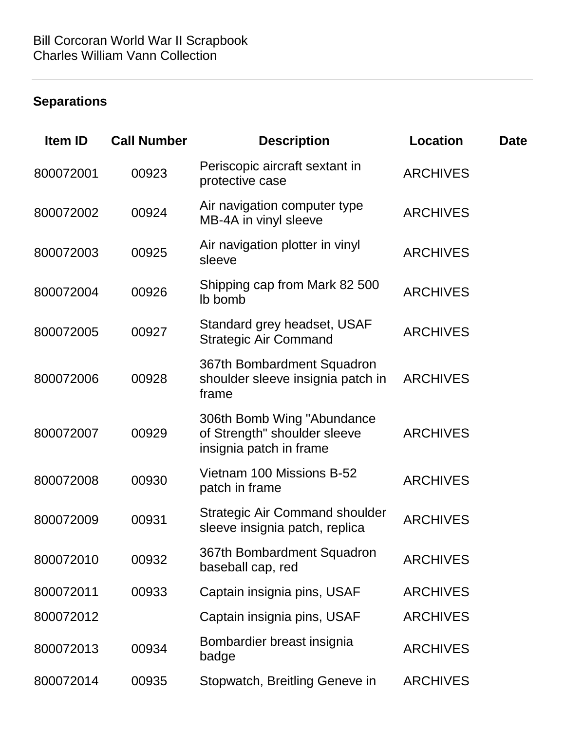# **Separations**

| <b>Item ID</b> | <b>Call Number</b> | <b>Description</b>                                                                    | <b>Location</b> | Date |
|----------------|--------------------|---------------------------------------------------------------------------------------|-----------------|------|
| 800072001      | 00923              | Periscopic aircraft sextant in<br>protective case                                     | <b>ARCHIVES</b> |      |
| 800072002      | 00924              | Air navigation computer type<br>MB-4A in vinyl sleeve                                 | <b>ARCHIVES</b> |      |
| 800072003      | 00925              | Air navigation plotter in vinyl<br>sleeve                                             | <b>ARCHIVES</b> |      |
| 800072004      | 00926              | Shipping cap from Mark 82 500<br>Ib bomb                                              | <b>ARCHIVES</b> |      |
| 800072005      | 00927              | Standard grey headset, USAF<br><b>Strategic Air Command</b>                           | <b>ARCHIVES</b> |      |
| 800072006      | 00928              | 367th Bombardment Squadron<br>shoulder sleeve insignia patch in<br>frame              | <b>ARCHIVES</b> |      |
| 800072007      | 00929              | 306th Bomb Wing "Abundance<br>of Strength" shoulder sleeve<br>insignia patch in frame | <b>ARCHIVES</b> |      |
| 800072008      | 00930              | Vietnam 100 Missions B-52<br>patch in frame                                           | <b>ARCHIVES</b> |      |
| 800072009      | 00931              | <b>Strategic Air Command shoulder</b><br>sleeve insignia patch, replica               | <b>ARCHIVES</b> |      |
| 800072010      | 00932              | 367th Bombardment Squadron<br>baseball cap, red                                       | <b>ARCHIVES</b> |      |
| 800072011      | 00933              | Captain insignia pins, USAF                                                           | <b>ARCHIVES</b> |      |
| 800072012      |                    | Captain insignia pins, USAF                                                           | <b>ARCHIVES</b> |      |
| 800072013      | 00934              | Bombardier breast insignia<br>badge                                                   | <b>ARCHIVES</b> |      |
| 800072014      | 00935              | Stopwatch, Breitling Geneve in                                                        | <b>ARCHIVES</b> |      |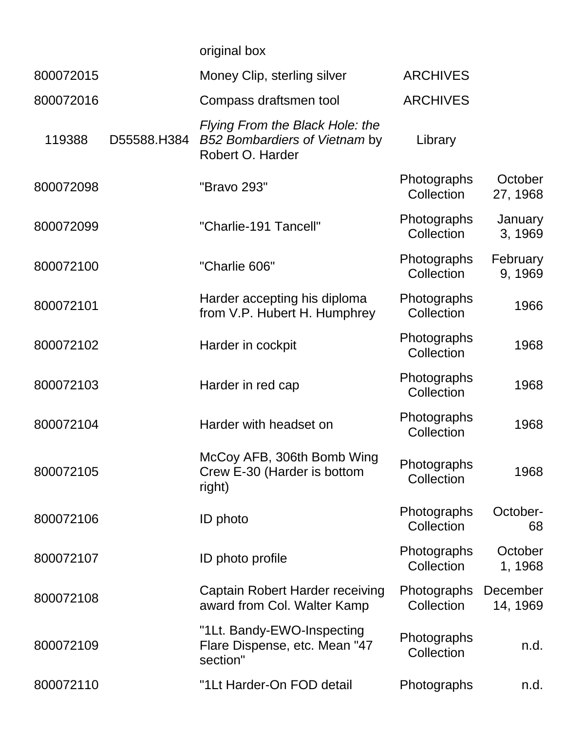|           |             | original box                                                                         |                           |                           |
|-----------|-------------|--------------------------------------------------------------------------------------|---------------------------|---------------------------|
| 800072015 |             | Money Clip, sterling silver                                                          | <b>ARCHIVES</b>           |                           |
| 800072016 |             | Compass draftsmen tool                                                               | <b>ARCHIVES</b>           |                           |
| 119388    | D55588.H384 | Flying From the Black Hole: the<br>B52 Bombardiers of Vietnam by<br>Robert O. Harder | Library                   |                           |
| 800072098 |             | "Bravo 293"                                                                          | Photographs<br>Collection | October<br>27, 1968       |
| 800072099 |             | "Charlie-191 Tancell"                                                                | Photographs<br>Collection | <b>January</b><br>3, 1969 |
| 800072100 |             | "Charlie 606"                                                                        | Photographs<br>Collection | February<br>9, 1969       |
| 800072101 |             | Harder accepting his diploma<br>from V.P. Hubert H. Humphrey                         | Photographs<br>Collection | 1966                      |
| 800072102 |             | Harder in cockpit                                                                    | Photographs<br>Collection | 1968                      |
| 800072103 |             | Harder in red cap                                                                    | Photographs<br>Collection | 1968                      |
| 800072104 |             | Harder with headset on                                                               | Photographs<br>Collection | 1968                      |
| 800072105 |             | McCoy AFB, 306th Bomb Wing<br>Crew E-30 (Harder is bottom<br>right)                  | Photographs<br>Collection | 1968                      |
| 800072106 |             | <b>ID</b> photo                                                                      | Photographs<br>Collection | October-<br>68            |
| 800072107 |             | ID photo profile                                                                     | Photographs<br>Collection | October<br>1, 1968        |
| 800072108 |             | Captain Robert Harder receiving<br>award from Col. Walter Kamp                       | Photographs<br>Collection | December<br>14, 1969      |
| 800072109 |             | "1Lt. Bandy-EWO-Inspecting<br>Flare Dispense, etc. Mean "47<br>section"              | Photographs<br>Collection | n.d.                      |
| 800072110 |             | "1Lt Harder-On FOD detail                                                            | Photographs               | n.d.                      |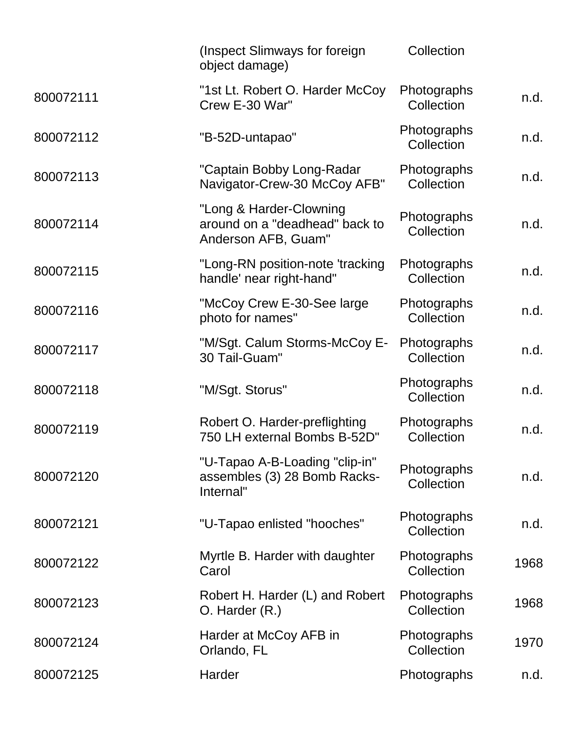|           | (Inspect Slimways for foreign<br>object damage)                                  | Collection                |      |
|-----------|----------------------------------------------------------------------------------|---------------------------|------|
| 800072111 | "1st Lt. Robert O. Harder McCoy<br>Crew E-30 War"                                | Photographs<br>Collection | n.d. |
| 800072112 | "B-52D-untapao"                                                                  | Photographs<br>Collection | n.d. |
| 800072113 | "Captain Bobby Long-Radar<br>Navigator-Crew-30 McCoy AFB"                        | Photographs<br>Collection | n.d. |
| 800072114 | "Long & Harder-Clowning<br>around on a "deadhead" back to<br>Anderson AFB, Guam" | Photographs<br>Collection | n.d. |
| 800072115 | "Long-RN position-note 'tracking<br>handle' near right-hand"                     | Photographs<br>Collection | n.d. |
| 800072116 | "McCoy Crew E-30-See large<br>photo for names"                                   | Photographs<br>Collection | n.d. |
| 800072117 | "M/Sgt. Calum Storms-McCoy E-<br>30 Tail-Guam"                                   | Photographs<br>Collection | n.d. |
| 800072118 | "M/Sgt. Storus"                                                                  | Photographs<br>Collection | n.d. |
| 800072119 | Robert O. Harder-preflighting<br>750 LH external Bombs B-52D"                    | Photographs<br>Collection | n.d. |
| 800072120 | "U-Tapao A-B-Loading "clip-in"<br>assembles (3) 28 Bomb Racks-<br>Internal"      | Photographs<br>Collection | n.d. |
| 800072121 | "U-Tapao enlisted "hooches"                                                      | Photographs<br>Collection | n.d. |
| 800072122 | Myrtle B. Harder with daughter<br>Carol                                          | Photographs<br>Collection | 1968 |
| 800072123 | Robert H. Harder (L) and Robert<br>$O.$ Harder $(R.)$                            | Photographs<br>Collection | 1968 |
| 800072124 | Harder at McCoy AFB in<br>Orlando, FL                                            | Photographs<br>Collection | 1970 |
| 800072125 | Harder                                                                           | Photographs               | n.d. |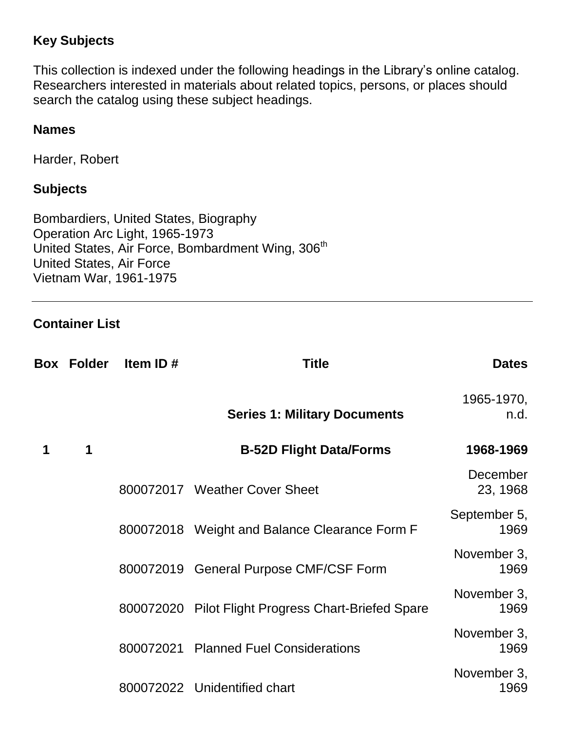# **Key Subjects**

This collection is indexed under the following headings in the Library's online catalog. Researchers interested in materials about related topics, persons, or places should search the catalog using these subject headings.

## **Names**

Harder, Robert

#### **Subjects**

Bombardiers, United States, Biography Operation Arc Light, 1965-1973 United States, Air Force, Bombardment Wing, 306<sup>th</sup> United States, Air Force Vietnam War, 1961-1975

## **Container List**

|   | <b>Box Folder</b> | Item ID# | <b>Title</b>                                        | <b>Dates</b>         |
|---|-------------------|----------|-----------------------------------------------------|----------------------|
|   |                   |          | <b>Series 1: Military Documents</b>                 | 1965-1970,<br>n.d.   |
| 1 | 1                 |          | <b>B-52D Flight Data/Forms</b>                      | 1968-1969            |
|   |                   |          | 800072017 Weather Cover Sheet                       | December<br>23, 1968 |
|   |                   |          | 800072018 Weight and Balance Clearance Form F       | September 5,<br>1969 |
|   |                   |          | 800072019 General Purpose CMF/CSF Form              | November 3,<br>1969  |
|   |                   |          | 800072020 Pilot Flight Progress Chart-Briefed Spare | November 3,<br>1969  |
|   |                   |          | 800072021 Planned Fuel Considerations               | November 3,<br>1969  |
|   |                   |          | 800072022 Unidentified chart                        | November 3,<br>1969  |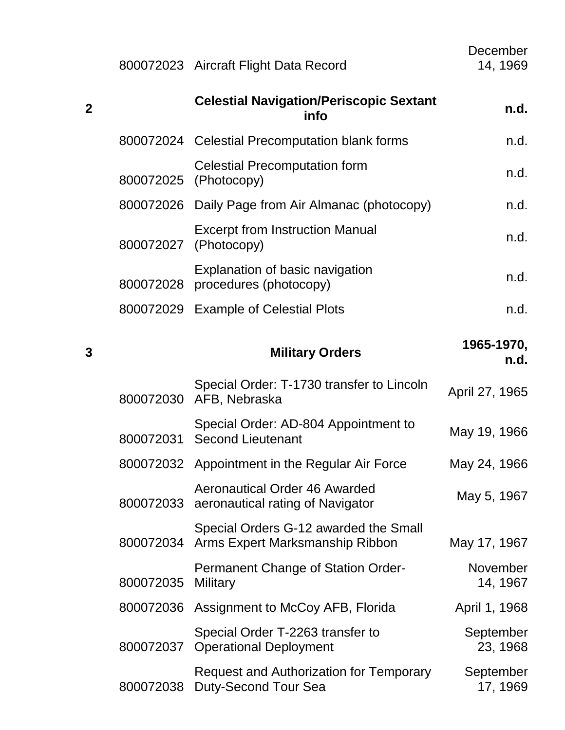|             |           | 800072023 Aircraft Flight Data Record                                         | December<br>14, 1969        |
|-------------|-----------|-------------------------------------------------------------------------------|-----------------------------|
| $\mathbf 2$ |           | <b>Celestial Navigation/Periscopic Sextant</b><br>info                        | n.d.                        |
|             |           | 800072024 Celestial Precomputation blank forms                                | n.d.                        |
|             | 800072025 | <b>Celestial Precomputation form</b><br>(Photocopy)                           | n.d.                        |
|             |           | 800072026 Daily Page from Air Almanac (photocopy)                             | n.d.                        |
|             | 800072027 | <b>Excerpt from Instruction Manual</b><br>(Photocopy)                         | n.d.                        |
|             | 800072028 | Explanation of basic navigation<br>procedures (photocopy)                     | n.d.                        |
|             |           | 800072029 Example of Celestial Plots                                          | n.d.                        |
| 3           |           | <b>Military Orders</b>                                                        | 1965-1970,<br>n.d.          |
|             | 800072030 | Special Order: T-1730 transfer to Lincoln<br>AFB, Nebraska                    | April 27, 1965              |
|             | 800072031 | Special Order: AD-804 Appointment to<br><b>Second Lieutenant</b>              | May 19, 1966                |
|             |           | 800072032 Appointment in the Regular Air Force                                | May 24, 1966                |
|             | 800072033 | <b>Aeronautical Order 46 Awarded</b><br>aeronautical rating of Navigator      | May 5, 1967                 |
|             | 800072034 | Special Orders G-12 awarded the Small<br>Arms Expert Marksmanship Ribbon      | May 17, 1967                |
|             | 800072035 | Permanent Change of Station Order-<br>Military                                | <b>November</b><br>14, 1967 |
|             | 800072036 | Assignment to McCoy AFB, Florida                                              | April 1, 1968               |
|             | 800072037 | Special Order T-2263 transfer to<br><b>Operational Deployment</b>             | September<br>23, 1968       |
|             | 800072038 | <b>Request and Authorization for Temporary</b><br><b>Duty-Second Tour Sea</b> | September<br>17, 1969       |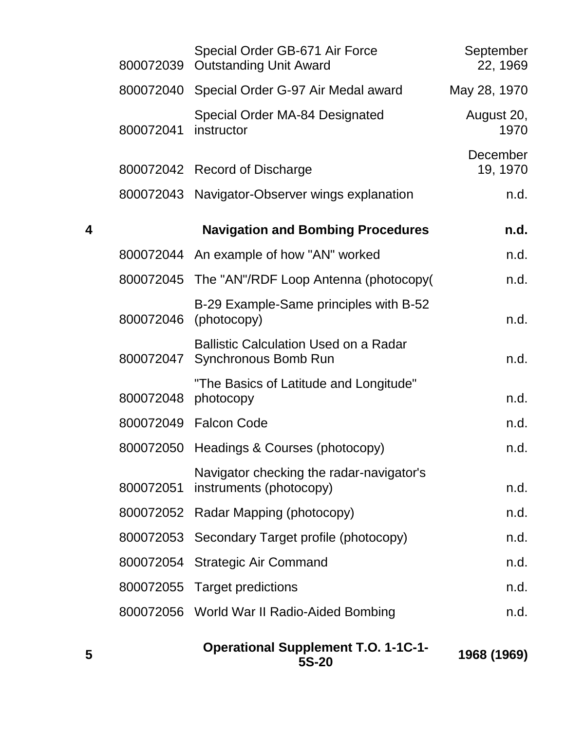|   | 800072039 | Special Order GB-671 Air Force<br><b>Outstanding Unit Award</b>      | September<br>22, 1969 |
|---|-----------|----------------------------------------------------------------------|-----------------------|
|   |           | 800072040 Special Order G-97 Air Medal award                         | May 28, 1970          |
|   | 800072041 | Special Order MA-84 Designated<br>instructor                         | August 20,<br>1970    |
|   |           | 800072042 Record of Discharge                                        | December<br>19, 1970  |
|   |           | 800072043 Navigator-Observer wings explanation                       | n.d.                  |
| 4 |           | <b>Navigation and Bombing Procedures</b>                             | n.d.                  |
|   |           | 800072044 An example of how "AN" worked                              | n.d.                  |
|   |           | 800072045 The "AN"/RDF Loop Antenna (photocopy(                      | n.d.                  |
|   | 800072046 | B-29 Example-Same principles with B-52<br>(photocopy)                | n.d.                  |
|   | 800072047 | <b>Ballistic Calculation Used on a Radar</b><br>Synchronous Bomb Run | n.d.                  |
|   | 800072048 | "The Basics of Latitude and Longitude"<br>photocopy                  | n.d.                  |
|   |           | 800072049  Falcon Code                                               | n.d.                  |
|   | 800072050 | Headings & Courses (photocopy)                                       | n.d.                  |
|   | 800072051 | Navigator checking the radar-navigator's<br>instruments (photocopy)  | n.d.                  |
|   | 800072052 | Radar Mapping (photocopy)                                            | n.d.                  |
|   | 800072053 | Secondary Target profile (photocopy)                                 | n.d.                  |
|   | 800072054 | <b>Strategic Air Command</b>                                         | n.d.                  |
|   |           | 800072055 Target predictions                                         | n.d.                  |
|   |           | 800072056 World War II Radio-Aided Bombing                           | n.d.                  |
|   |           |                                                                      |                       |

| <b>Operational Supplement T.O. 1-1C-1-</b> | 1968 (1969) |
|--------------------------------------------|-------------|
| 5S-20                                      |             |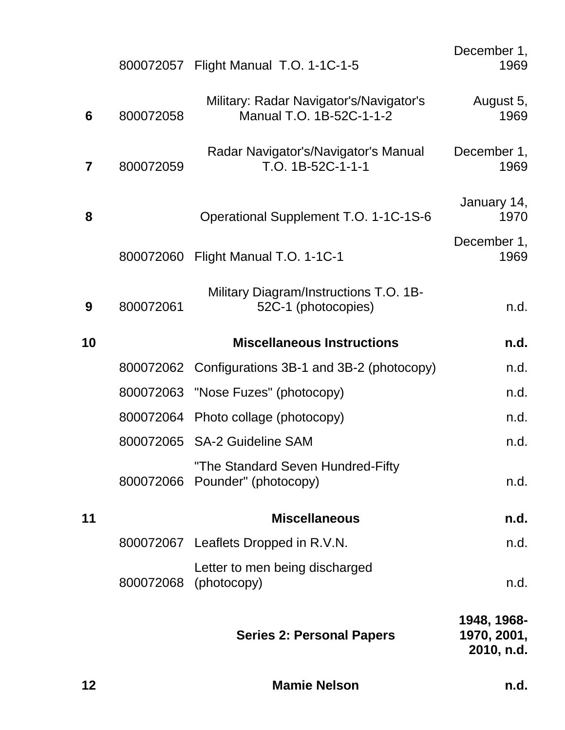| 12 |           | <b>Mamie Nelson</b>                                                 | n.d.                                     |
|----|-----------|---------------------------------------------------------------------|------------------------------------------|
|    |           | <b>Series 2: Personal Papers</b>                                    | 1948, 1968-<br>1970, 2001,<br>2010, n.d. |
|    | 800072068 | Letter to men being discharged<br>(photocopy)                       | n.d.                                     |
|    |           | 800072067 Leaflets Dropped in R.V.N.                                | n.d.                                     |
| 11 |           | <b>Miscellaneous</b>                                                | n.d.                                     |
|    |           | "The Standard Seven Hundred-Fifty<br>800072066 Pounder" (photocopy) | n.d.                                     |
|    |           | 800072065 SA-2 Guideline SAM                                        | n.d.                                     |
|    |           | 800072064 Photo collage (photocopy)                                 | n.d.                                     |
|    |           | 800072063 "Nose Fuzes" (photocopy)                                  | n.d.                                     |
|    |           | 800072062 Configurations 3B-1 and 3B-2 (photocopy)                  | n.d.                                     |
| 10 |           | <b>Miscellaneous Instructions</b>                                   | n.d.                                     |
| 9  | 800072061 | Military Diagram/Instructions T.O. 1B-<br>52C-1 (photocopies)       | n.d.                                     |
|    |           | 800072060 Flight Manual T.O. 1-1C-1                                 | December 1,<br>1969                      |
| 8  |           | Operational Supplement T.O. 1-1C-1S-6                               | January 14,<br>1970                      |
| 7  | 800072059 | Radar Navigator's/Navigator's Manual<br>T.O. 1B-52C-1-1-1           | December 1,<br>1969                      |
| 6  | 800072058 | Military: Radar Navigator's/Navigator's<br>Manual T.O. 1B-52C-1-1-2 | August 5,<br>1969                        |
|    |           | 800072057 Flight Manual T.O. 1-1C-1-5                               | December 1,<br>1969                      |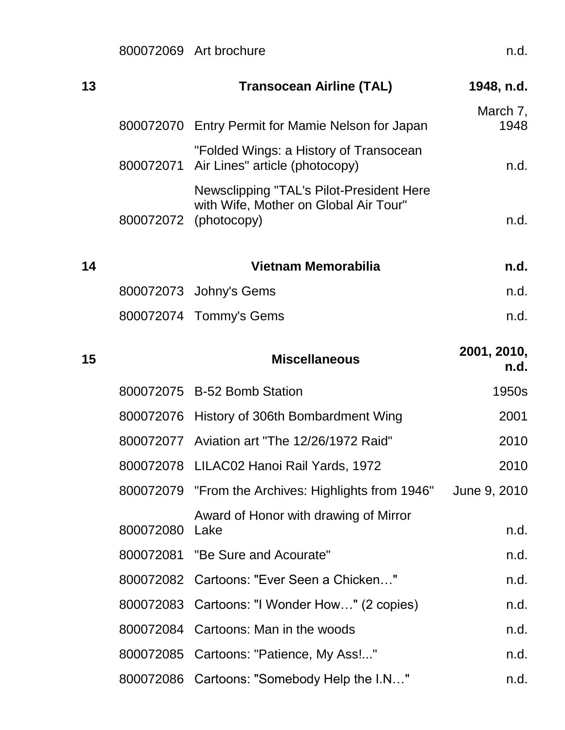800072069 Art brochure n.d.

| 13 |           | <b>Transocean Airline (TAL)</b>                                                                            | 1948, n.d.          |
|----|-----------|------------------------------------------------------------------------------------------------------------|---------------------|
|    |           | 800072070 Entry Permit for Mamie Nelson for Japan                                                          | March 7,<br>1948    |
|    | 800072071 | "Folded Wings: a History of Transocean<br>Air Lines" article (photocopy)                                   | n.d.                |
|    |           | Newsclipping "TAL's Pilot-President Here<br>with Wife, Mother on Global Air Tour"<br>800072072 (photocopy) | n.d.                |
| 14 |           | Vietnam Memorabilia                                                                                        | n.d.                |
|    |           | 800072073 Johny's Gems                                                                                     | n.d.                |
|    |           | 800072074 Tommy's Gems                                                                                     | n.d.                |
| 15 |           | <b>Miscellaneous</b>                                                                                       | 2001, 2010,<br>n.d. |
|    |           | 800072075 B-52 Bomb Station                                                                                | 1950s               |
|    |           | 800072076 History of 306th Bombardment Wing                                                                | 2001                |
|    |           | 800072077 Aviation art "The 12/26/1972 Raid"                                                               | 2010                |
|    |           | 800072078 LILAC02 Hanoi Rail Yards, 1972                                                                   | 2010                |
|    |           | 800072079 "From the Archives: Highlights from 1946"                                                        | June 9, 2010        |
|    | 800072080 | Award of Honor with drawing of Mirror<br>Lake                                                              | n.d.                |
|    |           | 800072081 "Be Sure and Acourate"                                                                           | n.d.                |
|    |           | 800072082 Cartoons: "Ever Seen a Chicken"                                                                  | n.d.                |
|    |           | 800072083 Cartoons: "I Wonder How" (2 copies)                                                              | n.d.                |
|    |           | 800072084 Cartoons: Man in the woods                                                                       | n.d.                |
|    |           | 800072085 Cartoons: "Patience, My Ass!"                                                                    | n.d.                |
|    |           | 800072086 Cartoons: "Somebody Help the I.N"                                                                | n.d.                |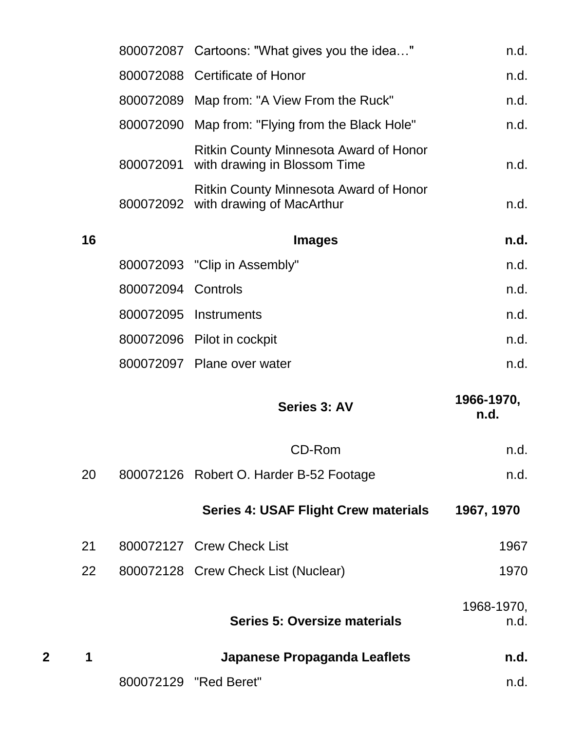|   |    |                    | 800072087 Cartoons: "What gives you the idea"                                        | n.d.               |
|---|----|--------------------|--------------------------------------------------------------------------------------|--------------------|
|   |    |                    | 800072088 Certificate of Honor                                                       | n.d.               |
|   |    |                    | 800072089 Map from: "A View From the Ruck"                                           | n.d.               |
|   |    |                    | 800072090 Map from: "Flying from the Black Hole"                                     | n.d.               |
|   |    | 800072091          | <b>Ritkin County Minnesota Award of Honor</b><br>with drawing in Blossom Time        | n.d.               |
|   |    |                    | <b>Ritkin County Minnesota Award of Honor</b><br>800072092 with drawing of MacArthur | n.d.               |
|   | 16 |                    | <b>Images</b>                                                                        | n.d.               |
|   |    |                    | 800072093 "Clip in Assembly"                                                         | n.d.               |
|   |    | 800072094 Controls |                                                                                      | n.d.               |
|   |    |                    | 800072095 Instruments                                                                | n.d.               |
|   |    |                    | 800072096 Pilot in cockpit                                                           | n.d.               |
|   |    |                    | 800072097 Plane over water                                                           | n.d.               |
|   |    |                    | Series 3: AV                                                                         | 1966-1970,<br>n.d. |
|   |    |                    | CD-Rom                                                                               | n.d.               |
|   | 20 |                    | 800072126 Robert O. Harder B-52 Footage                                              | n.d.               |
|   |    |                    | <b>Series 4: USAF Flight Crew materials</b>                                          | 1967, 1970         |
|   | 21 |                    | 800072127 Crew Check List                                                            | 1967               |
|   | 22 |                    | 800072128 Crew Check List (Nuclear)                                                  | 1970               |
|   |    |                    | <b>Series 5: Oversize materials</b>                                                  | 1968-1970,<br>n.d. |
| 2 |    |                    | <b>Japanese Propaganda Leaflets</b>                                                  | n.d.               |
|   |    |                    | 800072129 "Red Beret"                                                                | n.d.               |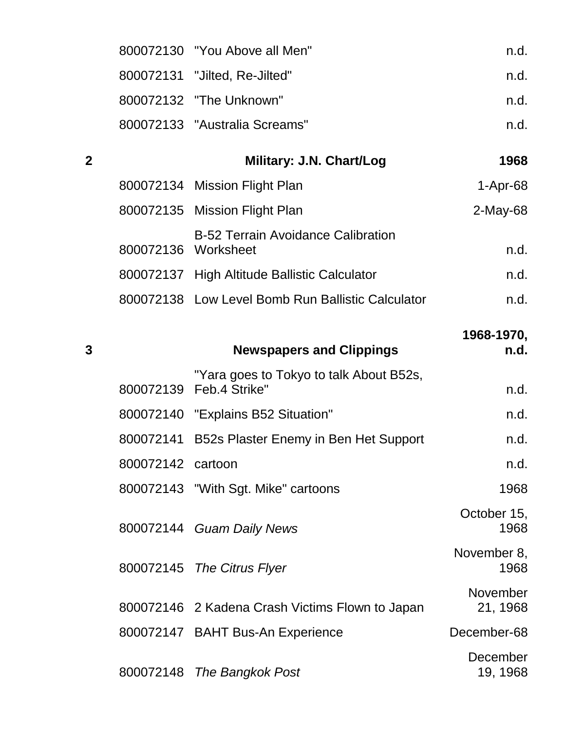| 800072130 "You Above all Men" | n.d. |
|-------------------------------|------|
| 800072131 "Jilted, Re-Jilted" | n.d. |
| 800072132 "The Unknown"       | n.d. |
| 800072133 "Australia Screams" | n.d. |

# **2 Military: J.N. Chart/Log 1968**

|                     | 800072134 Mission Flight Plan                     | $1-Apr-68$  |
|---------------------|---------------------------------------------------|-------------|
|                     | 800072135 Mission Flight Plan                     | $2$ -May-68 |
| 800072136 Worksheet | <b>B-52 Terrain Avoidance Calibration</b>         | n.d.        |
|                     | 800072137 High Altitude Ballistic Calculator      | n.d.        |
|                     | 800072138 Low Level Bomb Run Ballistic Calculator | n.d.        |

| 3 |                   | <b>Newspapers and Clippings</b>                                       | 1968-1970,<br>n.d.   |
|---|-------------------|-----------------------------------------------------------------------|----------------------|
|   |                   |                                                                       |                      |
|   |                   | "Yara goes to Tokyo to talk About B52s,<br>800072139    Feb.4 Strike" | n.d.                 |
|   |                   | 800072140 "Explains B52 Situation"                                    | n.d.                 |
|   | 800072141         | B52s Plaster Enemy in Ben Het Support                                 | n.d.                 |
|   | 800072142 cartoon |                                                                       | n.d.                 |
|   |                   | 800072143 "With Sgt. Mike" cartoons                                   | 1968                 |
|   |                   | 800072144 Guam Daily News                                             | October 15,<br>1968  |
|   |                   | 800072145 The Citrus Flyer                                            | November 8,<br>1968  |
|   |                   | 800072146 2 Kadena Crash Victims Flown to Japan                       | November<br>21, 1968 |
|   |                   | 800072147 BAHT Bus-An Experience                                      | December-68          |
|   |                   | 800072148 The Bangkok Post                                            | December<br>19, 1968 |